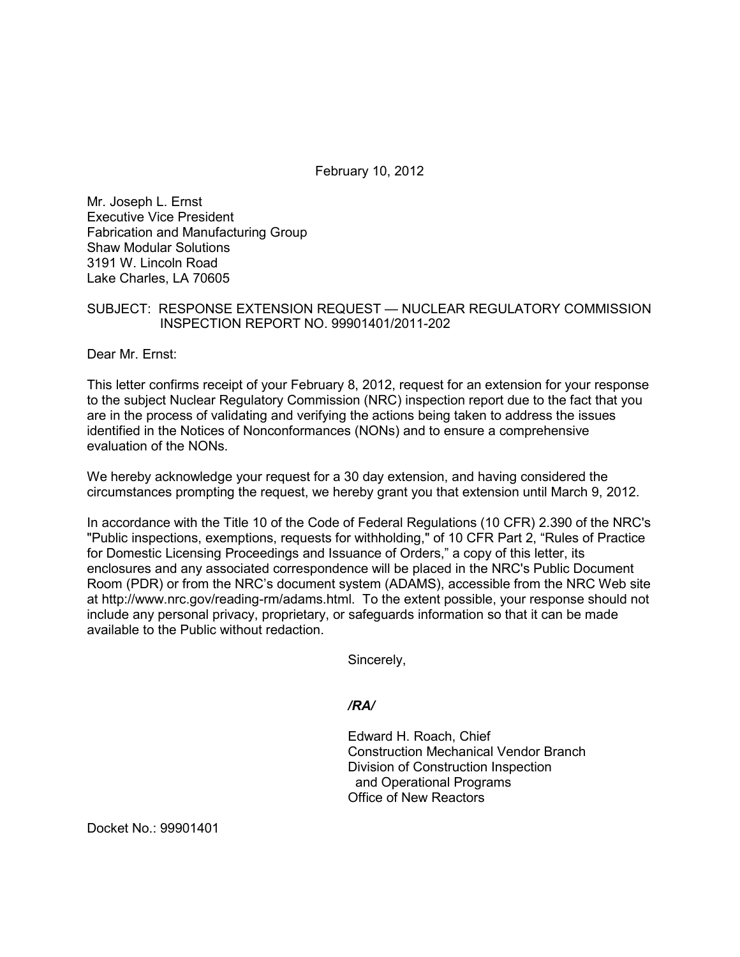February 10, 2012

Mr. Joseph L. Ernst Executive Vice President Fabrication and Manufacturing Group Shaw Modular Solutions 3191 W. Lincoln Road Lake Charles, LA 70605

## SUBJECT: RESPONSE EXTENSION REQUEST — NUCLEAR REGULATORY COMMISSION INSPECTION REPORT NO. 99901401/2011-202

Dear Mr. Ernst:

This letter confirms receipt of your February 8, 2012, request for an extension for your response to the subject Nuclear Regulatory Commission (NRC) inspection report due to the fact that you are in the process of validating and verifying the actions being taken to address the issues identified in the Notices of Nonconformances (NONs) and to ensure a comprehensive evaluation of the NONs.

We hereby acknowledge your request for a 30 day extension, and having considered the circumstances prompting the request, we hereby grant you that extension until March 9, 2012.

In accordance with the Title 10 of the Code of Federal Regulations (10 CFR) 2.390 of the NRC's "Public inspections, exemptions, requests for withholding," of 10 CFR Part 2, "Rules of Practice for Domestic Licensing Proceedings and Issuance of Orders," a copy of this letter, its enclosures and any associated correspondence will be placed in the NRC's Public Document Room (PDR) or from the NRC's document system (ADAMS), accessible from the NRC Web site at http://www.nrc.gov/reading-rm/adams.html. To the extent possible, your response should not include any personal privacy, proprietary, or safeguards information so that it can be made available to the Public without redaction.

Sincerely,

*/RA/* 

Edward H. Roach, Chief Construction Mechanical Vendor Branch Division of Construction Inspection and Operational Programs Office of New Reactors

Docket No.: 99901401